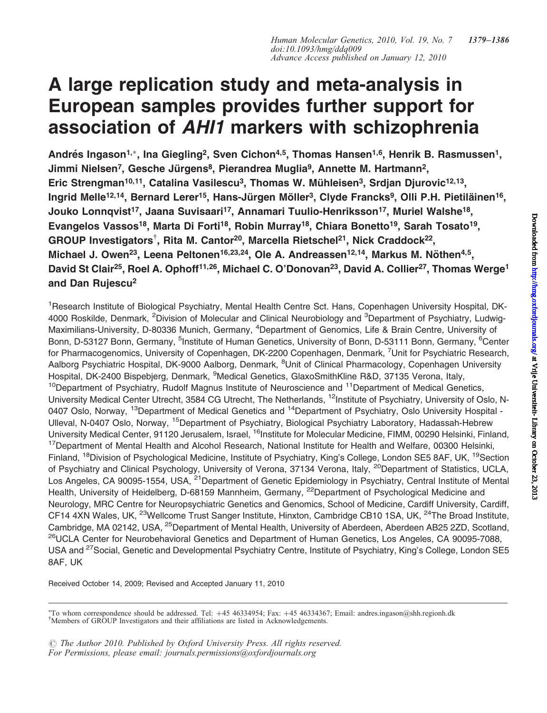# A large replication study and meta-analysis in European samples provides further support for association of AHI1 markers with schizophrenia

Andrés Ingason<sup>1,</sup>\*, Ina Giegling<sup>2</sup>, Sven Cichon<sup>4,5</sup>, Thomas Hansen<sup>1,6</sup>, Henrik B. Rasmussen<sup>1</sup>, Jimmi Nielsen<sup>7</sup>, Gesche Jürgens<sup>8</sup>, Pierandrea Muglia<sup>9</sup>, Annette M. Hartmann<sup>2</sup>, Eric Strengman<sup>10,11</sup>, Catalina Vasilescu<sup>3</sup>, Thomas W. Mühleisen<sup>3</sup>, Srdjan Djurovic<sup>12,13</sup>, Ingrid Melle<sup>12,14</sup>, Bernard Lerer<sup>15</sup>, Hans-Jürgen Möller<sup>3</sup>, Clyde Francks<sup>9</sup>, Olli P.H. Pietiläinen<sup>16</sup>, Jouko Lonnqvist<sup>17</sup>, Jaana Suvisaari<sup>17</sup>, Annamari Tuulio-Henriksson<sup>17</sup>, Muriel Walshe<sup>18</sup>, Evangelos Vassos<sup>18</sup>, Marta Di Forti<sup>18</sup>, Robin Murray<sup>18</sup>, Chiara Bonetto<sup>19</sup>, Sarah Tosato<sup>19</sup>, GROUP Investigators<sup>†</sup>, Rita M. Cantor<sup>20</sup>, Marcella Rietschel<sup>21</sup>, Nick Craddock<sup>22</sup>, Michael J. Owen<sup>23</sup>, Leena Peltonen<sup>16,23,24</sup>, Ole A. Andreassen<sup>12,14</sup>, Markus M. Nöthen<sup>4,5</sup>, David St Clair<sup>25</sup>, Roel A. Ophoff<sup>11,26</sup>, Michael C. O'Donovan<sup>23</sup>, David A. Collier<sup>27</sup>, Thomas Werge<sup>1</sup> and Dan Rujescu<sup>2</sup>

<sup>1</sup>Research Institute of Biological Psychiatry, Mental Health Centre Sct. Hans, Copenhagen University Hospital, DK-4000 Roskilde, Denmark, <sup>2</sup>Division of Molecular and Clinical Neurobiology and <sup>3</sup>Department of Psychiatry, Ludwig-Maximilians-University, D-80336 Munich, Germany, <sup>4</sup>Department of Genomics, Life & Brain Centre, University of Bonn, D-53127 Bonn, Germany, <sup>5</sup>Institute of Human Genetics, University of Bonn, D-53111 Bonn, Germany, <sup>6</sup>Center for Pharmacogenomics, University of Copenhagen, DK-2200 Copenhagen, Denmark, <sup>7</sup>Unit for Psychiatric Research, Aalborg Psychiatric Hospital, DK-9000 Aalborg, Denmark, <sup>8</sup>Unit of Clinical Pharmacology, Copenhagen University Hospital, DK-2400 Bispebjerg, Denmark, <sup>9</sup>Medical Genetics, GlaxoSmithKline R&D, 37135 Verona, Italy, <sup>10</sup>Department of Psychiatry, Rudolf Magnus Institute of Neuroscience and <sup>11</sup>Department of Medical Genetics, University Medical Center Utrecht, 3584 CG Utrecht, The Netherlands, <sup>12</sup>Institute of Psychiatry, University of Oslo, N-0407 Oslo, Norway, <sup>13</sup>Department of Medical Genetics and <sup>14</sup>Department of Psychiatry, Oslo University Hospital -Ulleval, N-0407 Oslo, Norway, 15Department of Psychiatry, Biological Psychiatry Laboratory, Hadassah-Hebrew University Medical Center, 91120 Jerusalem, Israel, <sup>16</sup>Institute for Molecular Medicine, FIMM, 00290 Helsinki, Finland, <sup>17</sup>Department of Mental Health and Alcohol Research, National Institute for Health and Welfare, 00300 Helsinki, Finland, <sup>18</sup>Division of Psychological Medicine, Institute of Psychiatry, King's College, London SE5 8AF, UK, <sup>19</sup>Section of Psychiatry and Clinical Psychology, University of Verona, 37134 Verona, Italy, <sup>20</sup>Department of Statistics, UCLA, Los Angeles, CA 90095-1554, USA, <sup>21</sup>Department of Genetic Epidemiology in Psychiatry, Central Institute of Mental Health, University of Heidelberg, D-68159 Mannheim, Germany, <sup>22</sup>Department of Psychological Medicine and Neurology, MRC Centre for Neuropsychiatric Genetics and Genomics, School of Medicine, Cardiff University, Cardiff, CF14 4XN Wales, UK, <sup>23</sup>Wellcome Trust Sanger Institute, Hinxton, Cambridge CB10 1SA, UK, <sup>24</sup>The Broad Institute, Cambridge, MA 02142, USA, <sup>25</sup>Department of Mental Health, University of Aberdeen, Aberdeen AB25 2ZD, Scotland, <sup>26</sup>UCLA Center for Neurobehavioral Genetics and Department of Human Genetics, Los Angeles, CA 90095-7088, USA and <sup>27</sup> Social, Genetic and Developmental Psychiatry Centre, Institute of Psychiatry, King's College, London SE5 8AF, UK

Received October 14, 2009; Revised and Accepted January 11, 2010

 $\odot$  The Author 2010. Published by Oxford University Press. All rights reserved. For Permissions, please email: journals.permissions@oxfordjournals.org

<sup>\*</sup>To whom correspondence should be addressed. Tel:  $+45$  46334954; Fax:  $+45$  46334367; Email: andres.ingason@shh.regionh.dk  $\uparrow$ Mombers of GPOUP Investigators and their officiations are listed in Asknowledgements Members of GROUP Investigators and their affiliations are listed in Acknowledgements.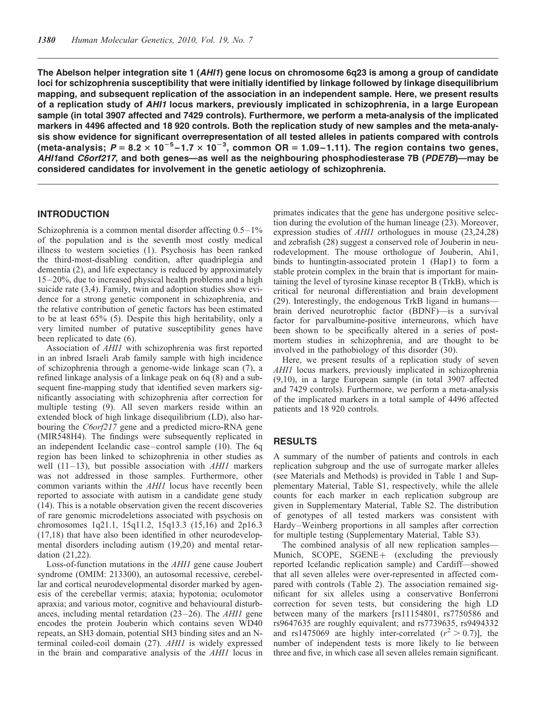The Abelson helper integration site 1 (AHI1) gene locus on chromosome 6q23 is among a group of candidate loci for schizophrenia susceptibility that were initially identified by linkage followed by linkage disequilibrium mapping, and subsequent replication of the association in an independent sample. Here, we present results of a replication study of AHI1 locus markers, previously implicated in schizophrenia, in a large European sample (in total 3907 affected and 7429 controls). Furthermore, we perform a meta-analysis of the implicated markers in 4496 affected and 18 920 controls. Both the replication study of new samples and the meta-analysis show evidence for significant overrepresentation of all tested alleles in patients compared with controls (meta-analysis;  $P = 8.2 \times 10^{-5}$ –1.7  $\times$  10<sup>-3</sup>, common OR = 1.09–1.11). The region contains two genes, AHI1and C6orf217, and both genes—as well as the neighbouring phosphodiesterase 7B (PDE7B)—may be considered candidates for involvement in the genetic aetiology of schizophrenia.

## INTRODUCTION

Schizophrenia is a common mental disorder affecting  $0.5-1\%$ of the population and is the seventh most costly medical illness to western societies (1). Psychosis has been ranked the third-most-disabling condition, after quadriplegia and dementia (2), and life expectancy is reduced by approximately 15–20%, due to increased physical health problems and a high suicide rate (3,4). Family, twin and adoption studies show evidence for a strong genetic component in schizophrenia, and the relative contribution of genetic factors has been estimated to be at least 65% (5). Despite this high heritability, only a very limited number of putative susceptibility genes have been replicated to date (6).

Association of AHI1 with schizophrenia was first reported in an inbred Israeli Arab family sample with high incidence of schizophrenia through a genome-wide linkage scan (7), a refined linkage analysis of a linkage peak on 6q (8) and a subsequent fine-mapping study that identified seven markers significantly associating with schizophrenia after correction for multiple testing (9). All seven markers reside within an extended block of high linkage disequilibrium (LD), also harbouring the *C6orf217* gene and a predicted micro-RNA gene (MIR548H4). The findings were subsequently replicated in an independent Icelandic case–control sample (10). The 6q region has been linked to schizophrenia in other studies as well  $(11-13)$ , but possible association with  $AHII$  markers was not addressed in those samples. Furthermore, other common variants within the AHI1 locus have recently been reported to associate with autism in a candidate gene study (14). This is a notable observation given the recent discoveries of rare genomic microdeletions associated with psychosis on chromosomes 1q21.1, 15q11.2, 15q13.3 (15,16) and 2p16.3 (17,18) that have also been identified in other neurodevelopmental disorders including autism (19,20) and mental retardation (21,22).

Loss-of-function mutations in the AHI1 gene cause Joubert syndrome (OMIM: 213300), an autosomal recessive, cerebellar and cortical neurodevelopmental disorder marked by agenesis of the cerebellar vermis; ataxia; hypotonia; oculomotor apraxia; and various motor, cognitive and behavioural disturbances, including mental retardation (23–26). The AHI1 gene encodes the protein Jouberin which contains seven WD40 repeats, an SH3 domain, potential SH3 binding sites and an Nterminal coiled-coil domain (27). AHI1 is widely expressed in the brain and comparative analysis of the AHI1 locus in primates indicates that the gene has undergone positive selection during the evolution of the human lineage (23). Moreover, expression studies of AHI1 orthologues in mouse (23,24,28) and zebrafish (28) suggest a conserved role of Jouberin in neurodevelopment. The mouse orthologue of Jouberin, Ahi1, binds to huntingtin-associated protein 1 (Hap1) to form a stable protein complex in the brain that is important for maintaining the level of tyrosine kinase receptor B (TrkB), which is critical for neuronal differentiation and brain development (29). Interestingly, the endogenous TrkB ligand in humans brain derived neurotrophic factor (BDNF)—is a survival factor for parvalbumine-positive interneurons, which have been shown to be specifically altered in a series of postmortem studies in schizophrenia, and are thought to be involved in the pathobiology of this disorder (30).

Here, we present results of a replication study of seven AHI1 locus markers, previously implicated in schizophrenia (9,10), in a large European sample (in total 3907 affected and 7429 controls). Furthermore, we perform a meta-analysis of the implicated markers in a total sample of 4496 affected patients and 18 920 controls.

## RESULTS

A summary of the number of patients and controls in each replication subgroup and the use of surrogate marker alleles (see Materials and Methods) is provided in Table 1 and [Sup](http://hmg.oxfordjournals.org/cgi/content/full/ddq009/DC1)[plementary Material, Table S1,](http://hmg.oxfordjournals.org/cgi/content/full/ddq009/DC1) respectively, while the allele counts for each marker in each replication subgroup are given in [Supplementary Material, Table S2.](http://hmg.oxfordjournals.org/cgi/content/full/ddq009/DC1) The distribution of genotypes of all tested markers was consistent with Hardy–Weinberg proportions in all samples after correction for multiple testing [\(Supplementary Material, Table S3](http://hmg.oxfordjournals.org/cgi/content/full/ddq009/DC1)).

The combined analysis of all new replication samples— Munich, SCOPE, SGENE+ (excluding the previously reported Icelandic replication sample) and Cardiff—showed that all seven alleles were over-represented in affected compared with controls (Table 2). The association remained significant for six alleles using a conservative Bonferroni correction for seven tests, but considering the high LD between many of the markers [rs11154801, rs7750586 and rs9647635 are roughly equivalent; and rs7739635, rs9494332 and rs1475069 are highly inter-correlated  $(r^2 > 0.7)$ ], the number of independent tests is more likely to lie between three and five, in which case all seven alleles remain significant.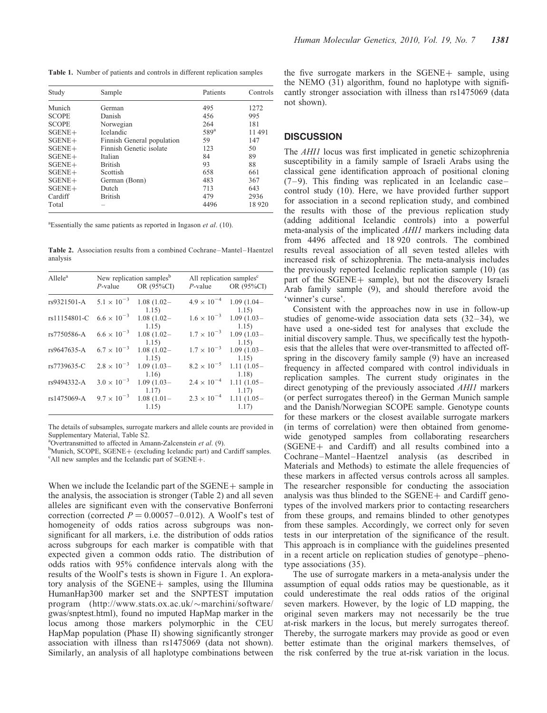Table 1. Number of patients and controls in different replication samples

| Study        | Sample                     | Patients                      | Controls<br>1272     |  |
|--------------|----------------------------|-------------------------------|----------------------|--|
| Munich       | German                     | 495                           |                      |  |
| <b>SCOPE</b> | Danish                     | 456                           | 995                  |  |
| <b>SCOPE</b> | Norwegian                  | 264<br>589 <sup>a</sup><br>59 | 181<br>11 491<br>147 |  |
| $SGENE+$     | Icelandic                  |                               |                      |  |
| $SGENE+$     | Finnish General population |                               |                      |  |
| $SGENE+$     | Finnish Genetic isolate    | 123                           | 50                   |  |
| $SGENE+$     | Italian                    | 84                            | 89                   |  |
| $SGENE+$     | <b>British</b>             | 93                            | 88                   |  |
| $SGENE+$     | Scottish                   | 658                           | 661                  |  |
| $SGENE+$     | German (Bonn)              | 483                           | 367                  |  |
| $SGENE+$     | Dutch                      | 713                           | 643                  |  |
| Cardiff      | <b>British</b>             | 479                           | 2936                 |  |
| Total        |                            | 4496                          | 18 9 20              |  |

 $a$ Essentially the same patients as reported in Ingason et al. (10).

Table 2. Association results from a combined Cochrane–Mantel–Haentzel analysis

| Allele <sup>a</sup> | New replication samples <sup>b</sup><br>$P$ -value | OR (95%CI)             | All replication samples <sup>c</sup><br>$P$ -value | OR (95%CI)             |
|---------------------|----------------------------------------------------|------------------------|----------------------------------------------------|------------------------|
| rs9321501-A         | $5.1 \times 10^{-3}$                               | $1.08(1.02 -$<br>1.15) | $4.9 \times 10^{-4}$                               | $1.09(1.04 -$<br>1.15) |
| rs11154801-C        | $6.6 \times 10^{-3}$                               | $1.08(1.02 -$<br>1.15) | $1.6 \times 10^{-3}$                               | $1.09(1.03 -$<br>1.15) |
| rs7750586-A         | $6.6 \times 10^{-3}$                               | $1.08(1.02 -$<br>1.15) | $1.7 \times 10^{-3}$                               | $1.09(1.03 -$<br>1.15) |
| rs9647635-A         | $6.7 \times 10^{-3}$                               | $1.08(1.02 -$<br>1.15) | $1.7\times10^{-3}$                                 | $1.09(1.03 -$<br>1.15) |
| rs7739635-C         | $2.8 \times 10^{-3}$                               | $1.09(1.03 -$<br>1.16) | $8.2 \times 10^{-5}$                               | $1.11(1.05 -$<br>1.18) |
| rs9494332-A         | $3.0 \times 10^{-3}$                               | $1.09(1.03 -$<br>1.17) | $2.4 \times 10^{-4}$                               | $1.11(1.05 -$<br>1.17) |
| rs1475069-A         | $9.7 \times 10^{-3}$                               | $1.08(1.01 -$<br>1.15) | $2.3 \times 10^{-4}$                               | $1.11(1.05 -$<br>1.17) |

The details of subsamples, surrogate markers and allele counts are provided in [Supplementary Material, Table S2](http://hmg.oxfordjournals.org/cgi/content/full/ddq009/DC1).

<sup>a</sup>Overtransmitted to affected in Amann-Zalcenstein *et al.* (9).<br><sup>b</sup>Munich SCOPE SGENE L (excluding Icalandic part) and t

<sup>b</sup>Munich, SCOPE, SGENE+ (excluding Icelandic part) and Cardiff samples.  $c$ All new samples and the Icelandic part of SGENE $+$ .

When we include the Icelandic part of the  $SGENE +$  sample in the analysis, the association is stronger (Table 2) and all seven alleles are significant even with the conservative Bonferroni correction (corrected  $P = 0.00057 - 0.012$ ). A Woolf's test of homogeneity of odds ratios across subgroups was nonsignificant for all markers, i.e. the distribution of odds ratios across subgroups for each marker is compatible with that expected given a common odds ratio. The distribution of odds ratios with 95% confidence intervals along with the results of the Woolf's tests is shown in Figure 1. An exploratory analysis of the  $SGENE +$  samples, using the Illumina HumanHap300 marker set and the SNPTEST imputation program (http://www.stats.ox.ac.uk/~marchini/software/ gwas/snptest.html), found no imputed HapMap marker in the locus among those markers polymorphic in the CEU HapMap population (Phase II) showing significantly stronger association with illness than rs1475069 (data not shown). Similarly, an analysis of all haplotype combinations between

the five surrogate markers in the  $SGENE +$  sample, using the NEMO (31) algorithm, found no haplotype with significantly stronger association with illness than rs1475069 (data not shown).

## **DISCUSSION**

The *AHI1* locus was first implicated in genetic schizophrenia susceptibility in a family sample of Israeli Arabs using the classical gene identification approach of positional cloning  $(7-9)$ . This finding was replicated in an Icelandic casecontrol study (10). Here, we have provided further support for association in a second replication study, and combined the results with those of the previous replication study (adding additional Icelandic controls) into a powerful meta-analysis of the implicated AHI1 markers including data from 4496 affected and 18 920 controls. The combined results reveal association of all seven tested alleles with increased risk of schizophrenia. The meta-analysis includes the previously reported Icelandic replication sample (10) (as part of the SGENE + sample), but not the discovery Israeli Arab family sample (9), and should therefore avoid the 'winner's curse'.

Consistent with the approaches now in use in follow-up studies of genome-wide association data sets (32–34), we have used a one-sided test for analyses that exclude the initial discovery sample. Thus, we specifically test the hypothesis that the alleles that were over-transmitted to affected offspring in the discovery family sample (9) have an increased frequency in affected compared with control individuals in replication samples. The current study originates in the direct genotyping of the previously associated AHI1 markers (or perfect surrogates thereof) in the German Munich sample and the Danish/Norwegian SCOPE sample. Genotype counts for these markers or the closest available surrogate markers (in terms of correlation) were then obtained from genomewide genotyped samples from collaborating researchers (SGENE+ and Cardiff) and all results combined into a Cochrane–Mantel–Haentzel analysis (as described in Materials and Methods) to estimate the allele frequencies of these markers in affected versus controls across all samples. The researcher responsible for conducting the association analysis was thus blinded to the  $SGENE+$  and Cardiff genotypes of the involved markers prior to contacting researchers from these groups, and remains blinded to other genotypes from these samples. Accordingly, we correct only for seven tests in our interpretation of the significance of the result. This approach is in compliance with the guidelines presented in a recent article on replication studies of genotype–phenotype associations (35).

The use of surrogate markers in a meta-analysis under the assumption of equal odds ratios may be questionable, as it could underestimate the real odds ratios of the original seven markers. However, by the logic of LD mapping, the original seven markers may not necessarily be the true at-risk markers in the locus, but merely surrogates thereof. Thereby, the surrogate markers may provide as good or even better estimate than the original markers themselves, of the risk conferred by the true at-risk variation in the locus.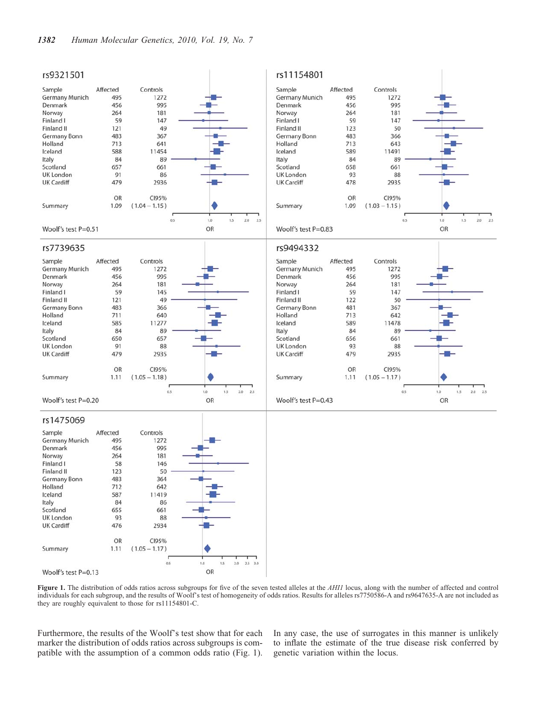

Woolf's test P=0.13

Figure 1. The distribution of odds ratios across subgroups for five of the seven tested alleles at the AHI1 locus, along with the number of affected and control individuals for each subgroup, and the results of Woolf's test of homogeneity of odds ratios. Results for alleles rs7750586-A and rs9647635-A are not included as they are roughly equivalent to those for rs11154801-C.

Furthermore, the results of the Woolf's test show that for each marker the distribution of odds ratios across subgroups is compatible with the assumption of a common odds ratio (Fig. 1). In any case, the use of surrogates in this manner is unlikely to inflate the estimate of the true disease risk conferred by genetic variation within the locus.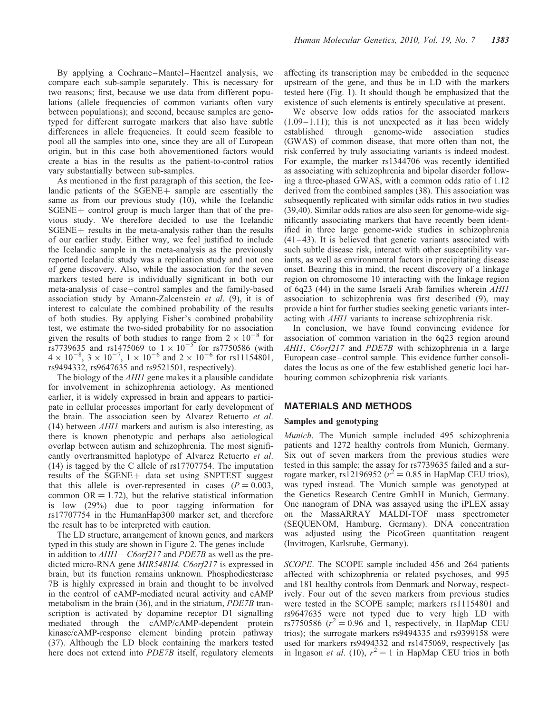By applying a Cochrane–Mantel–Haentzel analysis, we compare each sub-sample separately. This is necessary for two reasons; first, because we use data from different populations (allele frequencies of common variants often vary between populations); and second, because samples are genotyped for different surrogate markers that also have subtle differences in allele frequencies. It could seem feasible to pool all the samples into one, since they are all of European origin, but in this case both abovementioned factors would create a bias in the results as the patient-to-control ratios vary substantially between sub-samples.

As mentioned in the first paragraph of this section, the Icelandic patients of the  $SGENE +$  sample are essentially the same as from our previous study (10), while the Icelandic  $SGENE<sub>+</sub>$  control group is much larger than that of the previous study. We therefore decided to use the Icelandic  $SGENE + results$  in the meta-analysis rather than the results of our earlier study. Either way, we feel justified to include the Icelandic sample in the meta-analysis as the previously reported Icelandic study was a replication study and not one of gene discovery. Also, while the association for the seven markers tested here is individually significant in both our meta-analysis of case–control samples and the family-based association study by Amann-Zalcenstein et al. (9), it is of interest to calculate the combined probability of the results of both studies. By applying Fisher's combined probability test, we estimate the two-sided probability for no association given the results of both studies to range from  $2 \times 10^{-8}$  for rs7739635 and rs1475069 to  $1 \times 10^{-5}$  for rs7750586 (with  $4 \times 10^{-8}$ ,  $3 \times 10^{-7}$ ,  $1 \times 10^{-6}$  and  $2 \times 10^{-6}$  for rs11154801, rs9494332, rs9647635 and rs9521501, respectively).

The biology of the *AHI1* gene makes it a plausible candidate for involvement in schizophrenia aetiology. As mentioned earlier, it is widely expressed in brain and appears to participate in cellular processes important for early development of the brain. The association seen by Alvarez Retuerto et al. (14) between AHI1 markers and autism is also interesting, as there is known phenotypic and perhaps also aetiological overlap between autism and schizophrenia. The most significantly overtransmitted haplotype of Alvarez Retuerto et al. (14) is tagged by the C allele of rs17707754. The imputation results of the SGENE+ data set using SNPTEST suggest that this allele is over-represented in cases  $(P = 0.003,$ common  $OR = 1.72$ , but the relative statistical information is low (29%) due to poor tagging information for rs17707754 in the HumanHap300 marker set, and therefore the result has to be interpreted with caution.

The LD structure, arrangement of known genes, and markers typed in this study are shown in Figure 2. The genes include in addition to  $AHI1$ —C6orf217 and PDE7B as well as the predicted micro-RNA gene MIR548H4. C6orf217 is expressed in brain, but its function remains unknown. Phosphodiesterase 7B is highly expressed in brain and thought to be involved in the control of cAMP-mediated neural activity and cAMP metabolism in the brain (36), and in the striatum, PDE7B transcription is activated by dopamine receptor D1 signalling mediated through the cAMP/cAMP-dependent protein kinase/cAMP-response element binding protein pathway (37). Although the LD block containing the markers tested here does not extend into *PDE7B* itself, regulatory elements affecting its transcription may be embedded in the sequence upstream of the gene, and thus be in LD with the markers tested here (Fig. 1). It should though be emphasized that the existence of such elements is entirely speculative at present.

We observe low odds ratios for the associated markers  $(1.09-1.11)$ ; this is not unexpected as it has been widely established through genome-wide association studies (GWAS) of common disease, that more often than not, the risk conferred by truly associating variants is indeed modest. For example, the marker rs1344706 was recently identified as associating with schizophrenia and bipolar disorder following a three-phased GWAS, with a common odds ratio of 1.12 derived from the combined samples (38). This association was subsequently replicated with similar odds ratios in two studies (39,40). Similar odds ratios are also seen for genome-wide significantly associating markers that have recently been identified in three large genome-wide studies in schizophrenia (41–43). It is believed that genetic variants associated with such subtle disease risk, interact with other susceptibility variants, as well as environmental factors in precipitating disease onset. Bearing this in mind, the recent discovery of a linkage region on chromosome 10 interacting with the linkage region of 6q23 (44) in the same Israeli Arab families wherein AHI1 association to schizophrenia was first described (9), may provide a hint for further studies seeking genetic variants interacting with AHI1 variants to increase schizophrenia risk.

In conclusion, we have found convincing evidence for association of common variation in the 6q23 region around AHI1, C6orf217 and PDE7B with schizophrenia in a large European case–control sample. This evidence further consolidates the locus as one of the few established genetic loci harbouring common schizophrenia risk variants.

#### MATERIALS AND METHODS

#### Samples and genotyping

Munich. The Munich sample included 495 schizophrenia patients and 1272 healthy controls from Munich, Germany. Six out of seven markers from the previous studies were tested in this sample; the assay for rs7739635 failed and a surrogate marker, rs12196952 ( $r^2 = 0.85$  in HapMap CEU trios), was typed instead. The Munich sample was genotyped at the Genetics Research Centre GmbH in Munich, Germany. One nanogram of DNA was assayed using the iPLEX assay on the MassARRAY MALDI-TOF mass spectrometer (SEQUENOM, Hamburg, Germany). DNA concentration was adjusted using the PicoGreen quantitation reagent (Invitrogen, Karlsruhe, Germany).

SCOPE. The SCOPE sample included 456 and 264 patients affected with schizophrenia or related psychoses, and 995 and 181 healthy controls from Denmark and Norway, respectively. Four out of the seven markers from previous studies were tested in the SCOPE sample; markers rs11154801 and rs9647635 were not typed due to very high LD with rs7750586 ( $r^2 = 0.96$  and 1, respectively, in HapMap CEU trios); the surrogate markers rs9494335 and rs9399158 were used for markers rs9494332 and rs1475069, respectively [as in Ingason et al. (10),  $r^2 = 1$  in HapMap CEU trios in both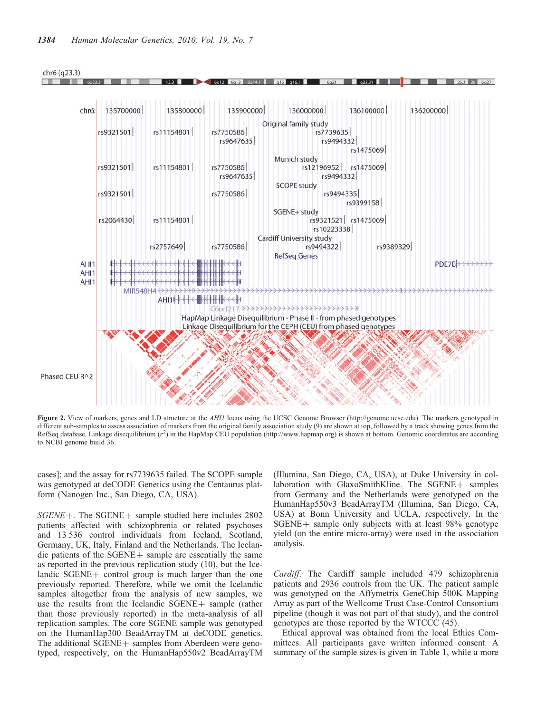

Figure 2. View of markers, genes and LD structure at the AHI1 locus using the UCSC Genome Browser (http://genome.ucsc.edu). The markers genotyped in different sub-samples to assess association of markers from the original family association study (9) are shown at top, followed by a track showing genes from the RefSeq database. Linkage disequilibrium  $(r^2)$  in the HapMap CEU population (http://www.hapmap.org) is shown at bottom. Genomic coordinates are according to NCBI genome build 36.

cases]; and the assay for rs7739635 failed. The SCOPE sample was genotyped at deCODE Genetics using the Centaurus platform (Nanogen Inc., San Diego, CA, USA).

 $SGENE +$ . The SGENE  $+$  sample studied here includes 2802 patients affected with schizophrenia or related psychoses and 13 536 control individuals from Iceland, Scotland, Germany, UK, Italy, Finland and the Netherlands. The Icelandic patients of the  $SGENE +$  sample are essentially the same as reported in the previous replication study (10), but the Icelandic  $SGENE +$  control group is much larger than the one previously reported. Therefore, while we omit the Icelandic samples altogether from the analysis of new samples, we use the results from the Icelandic SGENE + sample (rather than those previously reported) in the meta-analysis of all replication samples. The core SGENE sample was genotyped on the HumanHap300 BeadArrayTM at deCODE genetics. The additional  $SGENE +$  samples from Aberdeen were genotyped, respectively, on the HumanHap550v2 BeadArrayTM (Illumina, San Diego, CA, USA), at Duke University in collaboration with GlaxoSmithKline. The  $SGENE +$  samples from Germany and the Netherlands were genotyped on the HumanHap550v3 BeadArrayTM (Illumina, San Diego, CA, USA) at Bonn University and UCLA, respectively. In the  $SGENE +$  sample only subjects with at least 98% genotype yield (on the entire micro-array) were used in the association analysis.

Cardiff. The Cardiff sample included 479 schizophrenia patients and 2936 controls from the UK. The patient sample was genotyped on the Affymetrix GeneChip 500K Mapping Array as part of the Wellcome Trust Case-Control Consortium pipeline (though it was not part of that study), and the control genotypes are those reported by the WTCCC (45).

Ethical approval was obtained from the local Ethics Committees. All participants gave written informed consent. A summary of the sample sizes is given in Table 1, while a more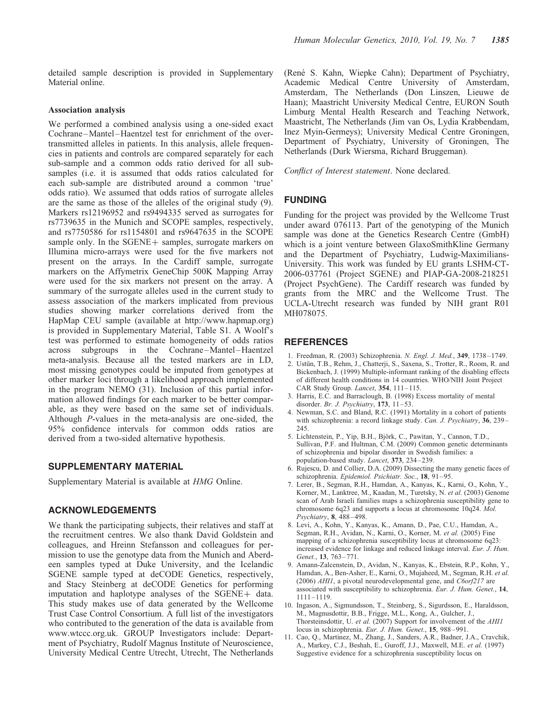detailed sample description is provided in [Supplementary](http://hmg.oxfordjournals.org/cgi/content/full/ddq009/DC1) [Material online.](http://hmg.oxfordjournals.org/cgi/content/full/ddq009/DC1)

#### Association analysis

We performed a combined analysis using a one-sided exact Cochrane–Mantel–Haentzel test for enrichment of the overtransmitted alleles in patients. In this analysis, allele frequencies in patients and controls are compared separately for each sub-sample and a common odds ratio derived for all subsamples (i.e. it is assumed that odds ratios calculated for each sub-sample are distributed around a common 'true' odds ratio). We assumed that odds ratios of surrogate alleles are the same as those of the alleles of the original study (9). Markers rs12196952 and rs9494335 served as surrogates for rs7739635 in the Munich and SCOPE samples, respectively, and rs7750586 for rs1154801 and rs9647635 in the SCOPE sample only. In the  $SGENE +$  samples, surrogate markers on Illumina micro-arrays were used for the five markers not present on the arrays. In the Cardiff sample, surrogate markers on the Affymetrix GeneChip 500K Mapping Array were used for the six markers not present on the array. A summary of the surrogate alleles used in the current study to assess association of the markers implicated from previous studies showing marker correlations derived from the HapMap CEU sample (available at http://www.hapmap.org) is provided in [Supplementary Material, Table S1](http://hmg.oxfordjournals.org/cgi/content/full/ddq009/DC1). A Woolf's test was performed to estimate homogeneity of odds ratios across subgroups in the Cochrane–Mantel–Haentzel meta-analysis. Because all the tested markers are in LD, most missing genotypes could be imputed from genotypes at other marker loci through a likelihood approach implemented in the program NEMO (31). Inclusion of this partial information allowed findings for each marker to be better comparable, as they were based on the same set of individuals. Although P-values in the meta-analysis are one-sided, the 95% confidence intervals for common odds ratios are derived from a two-sided alternative hypothesis.

## SUPPLEMENTARY MATERIAL

[Supplementary Material is available at](http://hmg.oxfordjournals.org/cgi/content/full/ddq009/DC1) HMG Online.

#### ACKNOWLEDGEMENTS

We thank the participating subjects, their relatives and staff at the recruitment centres. We also thank David Goldstein and colleagues, and Hreinn Stefansson and colleagues for permission to use the genotype data from the Munich and Aberdeen samples typed at Duke University, and the Icelandic SGENE sample typed at deCODE Genetics, respectively, and Stacy Steinberg at deCODE Genetics for performing imputation and haplotype analyses of the  $SGENE + data$ . This study makes use of data generated by the Wellcome Trust Case Control Consortium. A full list of the investigators who contributed to the generation of the data is available from www.wtccc.org.uk. GROUP Investigators include: Department of Psychiatry, Rudolf Magnus Institute of Neuroscience, University Medical Centre Utrecht, Utrecht, The Netherlands (René S. Kahn, Wiepke Cahn); Department of Psychiatry, Academic Medical Centre University of Amsterdam, Amsterdam, The Netherlands (Don Linszen, Lieuwe de Haan); Maastricht University Medical Centre, EURON South Limburg Mental Health Research and Teaching Network, Maastricht, The Netherlands (Jim van Os, Lydia Krabbendam, Inez Myin-Germeys); University Medical Centre Groningen, Department of Psychiatry, University of Groningen, The Netherlands (Durk Wiersma, Richard Bruggeman).

Conflict of Interest statement. None declared.

# FUNDING

Funding for the project was provided by the Wellcome Trust under award 076113. Part of the genotyping of the Munich sample was done at the Genetics Research Centre (GmbH) which is a joint venture between GlaxoSmithKline Germany and the Department of Psychiatry, Ludwig-Maximilians-University. This work was funded by EU grants LSHM-CT-2006-037761 (Project SGENE) and PIAP-GA-2008-218251 (Project PsychGene). The Cardiff research was funded by grants from the MRC and the Wellcome Trust. The UCLA-Utrecht research was funded by NIH grant R01 MH078075.

#### **REFERENCES**

- 1. Freedman, R. (2003) Schizophrenia. N. Engl. J. Med., 349, 1738–1749.
- 2. Ustün, T.B., Rehm, J., Chatterji, S., Saxena, S., Trotter, R., Room, R. and Bickenbach, J. (1999) Multiple-informant ranking of the disabling effects of different health conditions in 14 countries. WHO/NIH Joint Project CAR Study Group. Lancet, 354, 111–115.
- 3. Harris, E.C. and Barraclough, B. (1998) Excess mortality of mental disorder. Br. J. Psychiatry, 173, 11-53.
- 4. Newman, S.C. and Bland, R.C. (1991) Mortality in a cohort of patients with schizophrenia: a record linkage study. Can. J. Psychiatry, 36, 239-245.
- 5. Lichtenstein, P., Yip, B.H., Björk, C., Pawitan, Y., Cannon, T.D., Sullivan, P.F. and Hultman, C.M. (2009) Common genetic determinants of schizophrenia and bipolar disorder in Swedish families: a population-based study. Lancet, 373, 234-239.
- 6. Rujescu, D. and Collier, D.A. (2009) Dissecting the many genetic faces of schizophrenia. Epidemiol. Psichiatr. Soc., 18, 91–95.
- 7. Lerer, B., Segman, R.H., Hamdan, A., Kanyas, K., Karni, O., Kohn, Y., Korner, M., Lanktree, M., Kaadan, M., Turetsky, N. et al. (2003) Genome scan of Arab Israeli families maps a schizophrenia susceptibility gene to chromosome 6q23 and supports a locus at chromosome 10q24. Mol. Psychiatry, 8, 488–498.
- 8. Levi, A., Kohn, Y., Kanyas, K., Amann, D., Pae, C.U., Hamdan, A., Segman, R.H., Avidan, N., Karni, O., Korner, M. et al. (2005) Fine mapping of a schizophrenia susceptibility locus at chromosome 6q23: increased evidence for linkage and reduced linkage interval. Eur. J. Hum. Genet., 13, 763–771.
- 9. Amann-Zalcenstein, D., Avidan, N., Kanyas, K., Ebstein, R.P., Kohn, Y., Hamdan, A., Ben-Asher, E., Karni, O., Mujaheed, M., Segman, R.H. et al. (2006) AHI1, a pivotal neurodevelopmental gene, and C6orf217 are associated with susceptibility to schizophrenia. Eur. J. Hum. Genet., 14, 1111–1119.
- 10. Ingason, A., Sigmundsson, T., Steinberg, S., Sigurdsson, E., Haraldsson, M., Magnusdottir, B.B., Frigge, M.L., Kong, A., Gulcher, J., Thorsteinsdottir, U. et al. (2007) Support for involvement of the AHI1 locus in schizophrenia. Eur. J. Hum. Genet., 15, 988–991.
- 11. Cao, Q., Martinez, M., Zhang, J., Sanders, A.R., Badner, J.A., Cravchik, A., Markey, C.J., Beshah, E., Guroff, J.J., Maxwell, M.E. et al. (1997) Suggestive evidence for a schizophrenia susceptibility locus on